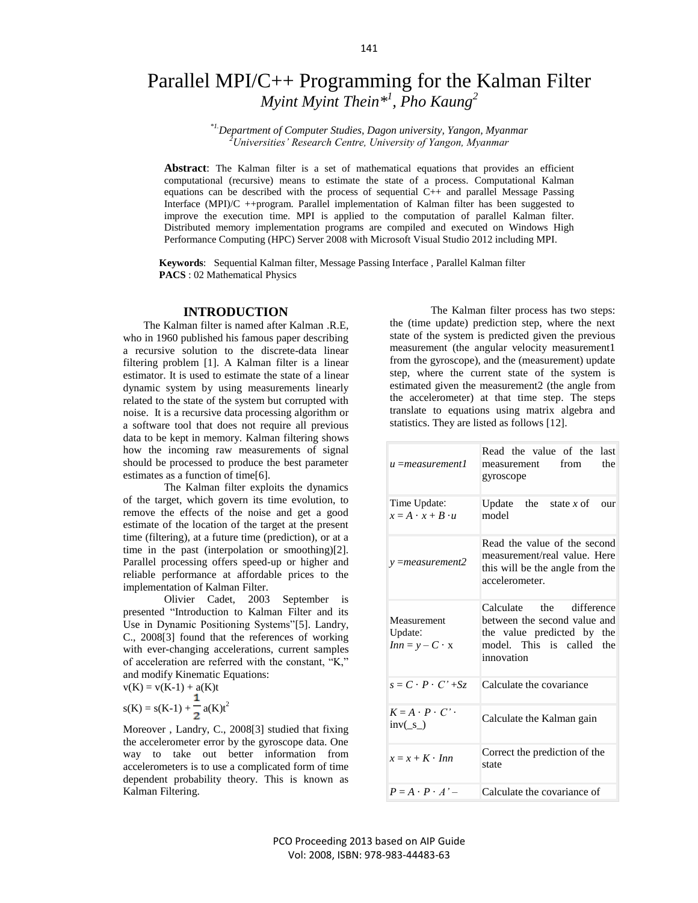# Parallel MPI/C++ Programming for the Kalman Filter *Myint Myint Thein\* 1 , Pho Kaung<sup>2</sup>*

*\*1.Department of Computer Studies, Dagon university, Yangon, Myanmar <sup>2</sup>Universities' Research Centre, University of Yangon, Myanmar*

**Abstract**: The Kalman filter is a set of mathematical equations that provides an efficient computational (recursive) means to estimate the state of a process. Computational Kalman equations can be described with the process of sequential C++ and parallel Message Passing Interface (MPI)/C ++program. Parallel implementation of Kalman filter has been suggested to improve the execution time. MPI is applied to the computation of parallel Kalman filter. Distributed memory implementation programs are compiled and executed on Windows High Performance Computing (HPC) Server 2008 with Microsoft Visual Studio 2012 including MPI.

 **Keywords**: Sequential Kalman filter, Message Passing Interface , Parallel Kalman filter **PACS** : 02 Mathematical Physics

## **INTRODUCTION**

The Kalman filter is named after Kalman .R.E, who in 1960 published his famous paper describing a recursive solution to the discrete-data linear filtering problem [1]. A Kalman filter is a linear estimator. It is used to estimate the state of a linear dynamic system by using measurements linearly related to the state of the system but corrupted with noise. It is a recursive data processing algorithm or a software tool that does not require all previous data to be kept in memory. Kalman filtering shows how the incoming raw measurements of signal should be processed to produce the best parameter estimates as a function of time[6].

The Kalman filter exploits the dynamics of the target, which govern its time evolution, to remove the effects of the noise and get a good estimate of the location of the target at the present time (filtering), at a future time (prediction), or at a time in the past (interpolation or smoothing)[2]. Parallel processing offers speed-up or higher and reliable performance at affordable prices to the implementation of Kalman Filter.

Olivier Cadet, 2003 September is presented "Introduction to Kalman Filter and its Use in Dynamic Positioning Systems"[5]. Landry, C., 2008[3] found that the references of working with ever-changing accelerations, current samples of acceleration are referred with the constant, "K," and modify Kinematic Equations:

 $v(K) = v(K-1) + a(K)t$ 

$$
s(K) = s(K-1) + \frac{1}{2} a(K)t^2
$$

Moreover , Landry, C., 2008[3] studied that fixing the accelerometer error by the gyroscope data. One way to take out better information from accelerometers is to use a complicated form of time dependent probability theory. This is known as Kalman Filtering.

 The Kalman filter process has two steps: the (time update) prediction step, where the next state of the system is predicted given the previous measurement (the angular velocity measurement1 from the gyroscope), and the (measurement) update step, where the current state of the system is estimated given the measurement2 (the angle from the accelerometer) at that time step. The steps translate to equations using matrix algebra and statistics. They are listed as follows [12].

| u =measurement1                                                    | Read the value of the last<br>from<br>the<br>measurement<br>gyroscope                                                             |
|--------------------------------------------------------------------|-----------------------------------------------------------------------------------------------------------------------------------|
| Time Update:<br>$x = A \cdot x + B \cdot u$                        | Update the state x of<br>our<br>model                                                                                             |
| $y = measurement2$                                                 | Read the value of the second<br>measurement/real value. Here<br>this will be the angle from the<br>accelerometer.                 |
| Measurement<br>Update:<br>$Inn = y - C \cdot x$                    | Calculate the difference<br>between the second value and<br>the value predicted by the<br>model. This is called the<br>innovation |
| $s = C \cdot P \cdot C' + Sz$                                      | Calculate the covariance                                                                                                          |
| $K = A \cdot P \cdot C'$ .<br>$inv(\underline{\ }s\underline{\ })$ | Calculate the Kalman gain                                                                                                         |
| $x = x + K \cdot Inn$                                              | Correct the prediction of the<br>state                                                                                            |
| $P = A \cdot P \cdot A'$                                           | Calculate the covariance of                                                                                                       |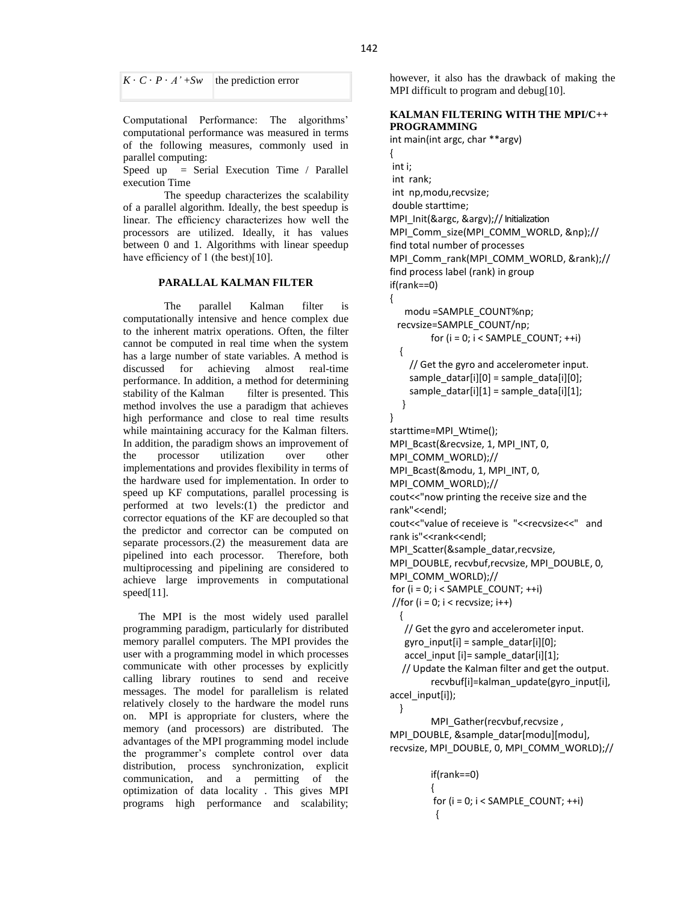$K \cdot C \cdot P \cdot A' + Sw$  the prediction error

Computational Performance: The algorithms' computational performance was measured in terms of the following measures, commonly used in parallel computing:

Speed up = Serial Execution Time / Parallel execution Time

The speedup characterizes the scalability of a parallel algorithm. Ideally, the best speedup is linear. The efficiency characterizes how well the processors are utilized. Ideally, it has values between 0 and 1. Algorithms with linear speedup have efficiency of 1 (the best)[10].

## **PARALLAL KALMAN FILTER**

The parallel Kalman filter is computationally intensive and hence complex due to the inherent matrix operations. Often, the filter cannot be computed in real time when the system has a large number of state variables. A method is discussed for achieving almost real-time performance. In addition, a method for determining stability of the Kalman filter is presented. This method involves the use a paradigm that achieves high performance and close to real time results while maintaining accuracy for the Kalman filters. In addition, the paradigm shows an improvement of the processor utilization over other implementations and provides flexibility in terms of the hardware used for implementation. In order to speed up KF computations, parallel processing is performed at two levels:(1) the predictor and corrector equations of the KF are decoupled so that the predictor and corrector can be computed on separate processors.(2) the measurement data are pipelined into each processor. Therefore, both multiprocessing and pipelining are considered to achieve large improvements in computational speed[11].

The MPI is the most widely used parallel programming paradigm, particularly for distributed memory parallel computers. The MPI provides the user with a programming model in which processes communicate with other processes by explicitly calling library routines to send and receive messages. The model for parallelism is related relatively closely to the hardware the model runs on. MPI is appropriate for clusters, where the memory (and processors) are distributed. The advantages of the MPI programming model include the programmer's complete control over data distribution, process synchronization, explicit communication, and a permitting of the optimization of data locality . This gives MPI programs high performance and scalability;

however, it also has the drawback of making the MPI difficult to program and debug[10].

## **KALMAN FILTERING WITH THE MPI/C++ PROGRAMMING**

```
int main(int argc, char **argv)
{
int i;
int rank;
int np,modu,recvsize;
double starttime;
MPI_Init(&argc, &argv);// Initialization
MPI_Comm_size(MPI_COMM_WORLD, &np);//
find total number of processes
MPI_Comm_rank(MPI_COMM_WORLD, &rank);//
find process label (rank) in group
if(rank==0)
{
    modu =SAMPLE_COUNT%np;
  recvsize=SAMPLE_COUNT/np;
        for (i = 0; i < SAMPLE_COUNT; ++i) {
     // Get the gyro and accelerometer input.
    sample_datar[i][0] = sample_data[i][0];
    sample datar[i][1] = sample data[i][1];
   }
}
starttime=MPI_Wtime();
MPI_Bcast(&recvsize, 1, MPI_INT, 0,
MPI_COMM_WORLD);//
MPI_Bcast(&modu, 1, MPI_INT, 0, 
MPI_COMM_WORLD);//
cout<<"now printing the receive size and the 
rank"<<endl;
cout<<"value of receieve is "<<recvsize<<" and 
rank is"<<rank<<endl;
MPI_Scatter(&sample_datar,recvsize, 
MPI_DOUBLE, recvbuf,recvsize, MPI_DOUBLE, 0,
MPI_COMM_WORLD);//
for (i = 0; i < SAMPLE COUNT; ++i)//for (i = 0; i < recvsize; i++)
   {
    // Get the gyro and accelerometer input.
```
gyro input[i] = sample datar[i][0]; accel input  $[i]$ = sample datar $[i][1]$ ; // Update the Kalman filter and get the output. recvbuf[i]=kalman\_update(gyro\_input[i], accel input[i]);

 } MPI\_Gather(recvbuf,recvsize , MPI\_DOUBLE, &sample\_datar[modu][modu], recvsize, MPI\_DOUBLE, 0, MPI\_COMM\_WORLD);//

```
if(rank==0)
{
for (i = 0; i < SAMPLE_COUNT; ++i)
 {
```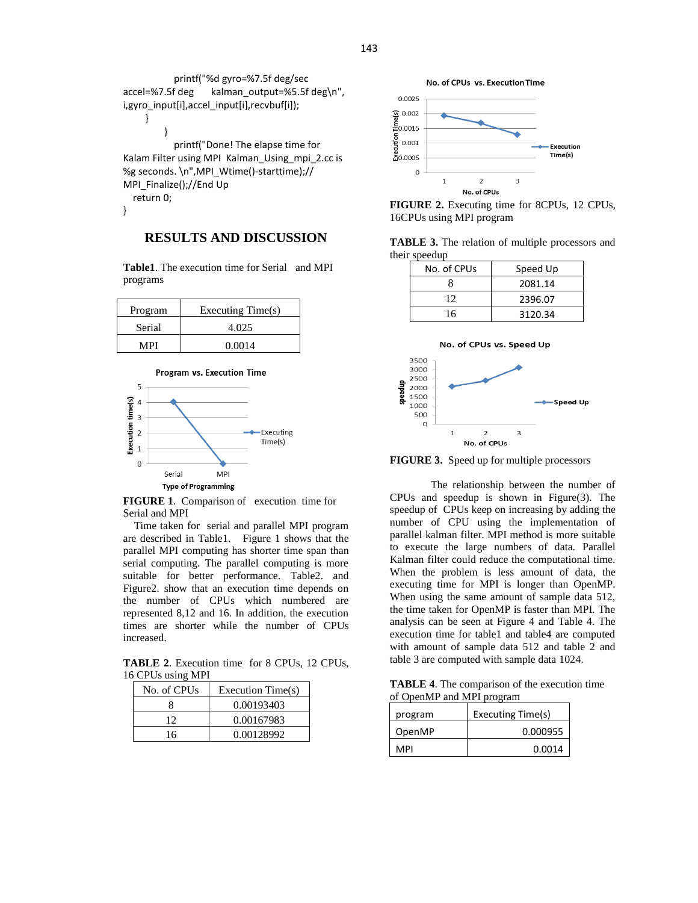```
 printf("%d gyro=%7.5f deg/sec 
accel=%7.5f deg kalman_output=%5.5f deg\n",
i,gyro_input[i],accel_input[i],recvbuf[i]);
     }
         }
            printf("Done! The elapse time for 
Kalam Filter using MPI Kalman_Using_mpi_2.cc is 
%g seconds. \n",MPI_Wtime()-starttime);//
MPI_Finalize();//End Up
   return 0;
}
```
# **RESULTS AND DISCUSSION**

**Table1**. The execution time for Serial and MPI programs

| Program | Executing Time(s) |
|---------|-------------------|
| Serial  | 4.025             |
| MPI     | 0.0014            |



**FIGURE 1**. Comparison of execution time for Serial and MPI

 Time taken for serial and parallel MPI program are described in Table1. Figure 1 shows that the parallel MPI computing has shorter time span than serial computing. The parallel computing is more suitable for better performance. Table2. and Figure2. show that an execution time depends on the number of CPUs which numbered are represented 8,12 and 16. In addition, the execution times are shorter while the number of CPUs increased.

**TABLE 2**. Execution time for 8 CPUs, 12 CPUs, 16 CPUs using MPI

| No. of CPUs | Execution Time(s) |
|-------------|-------------------|
|             | 0.00193403        |
| 12          | 0.00167983        |
| 16          | 0.00128992        |



**FIGURE 2.** Executing time for 8CPUs, 12 CPUs, 16CPUs using MPI program

**TABLE 3.** The relation of multiple processors and their speedup

| No. of CPUs | Speed Up |
|-------------|----------|
|             | 2081.14  |
| 12          | 2396.07  |
| 16          | 3120.34  |



**FIGURE 3.** Speed up for multiple processors

The relationship between the number of CPUs and speedup is shown in Figure(3). The speedup of CPUs keep on increasing by adding the number of CPU using the implementation of parallel kalman filter. MPI method is more suitable to execute the large numbers of data. Parallel Kalman filter could reduce the computational time. When the problem is less amount of data, the executing time for MPI is longer than OpenMP. When using the same amount of sample data 512, the time taken for OpenMP is faster than MPI. The analysis can be seen at Figure 4 and Table 4. The execution time for table1 and table4 are computed with amount of sample data 512 and table 2 and table 3 are computed with sample data 1024.

**TABLE 4**. The comparison of the execution time of OpenMP and MPI program

| program | Executing Time(s) |
|---------|-------------------|
| OpenMP  | 0.000955          |
| MPI     | 0.0014            |